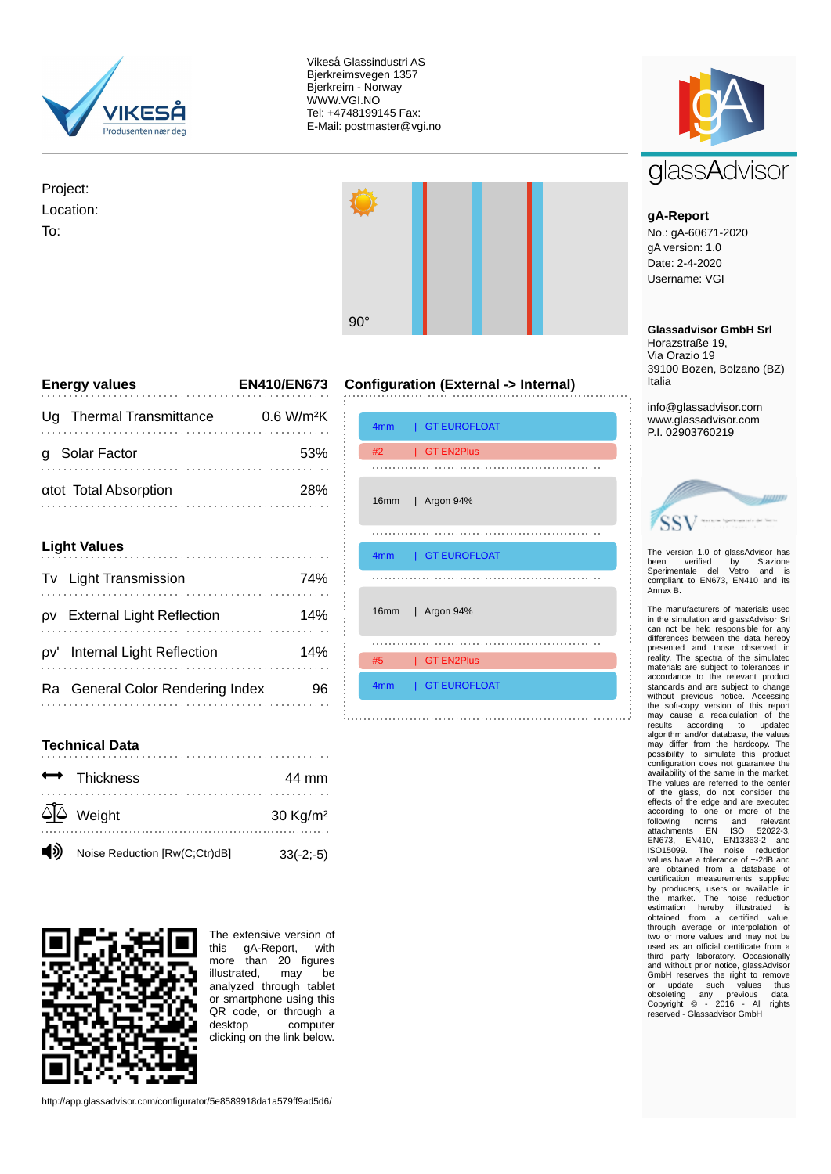

Vikeså Glassindustri AS Bjerkreimsvegen 1357 Bjerkreim - Norway WWW.VGI.NO Tel: +4748199145 Fax: E-Mail: postmaster@vgi.no

Project: Location: To:



**Configuration (External -> Internal)**

| <b>Energy values</b>        | <b>EN410/EN673</b>       |
|-----------------------------|--------------------------|
| Thermal Transmittance<br>Ua | $0.6$ W/m <sup>2</sup> K |
| <b>Solar Factor</b>         | 53%                      |
| atot Total Absorption       | つびの                      |

| <b>Light Values</b> |                                  |     |
|---------------------|----------------------------------|-----|
|                     | Tv Light Transmission            | 74% |
| ΟV                  | <b>External Light Reflection</b> | 14% |
|                     | pv' Internal Light Reflection    | 14% |
|                     | Ra General Color Rendering Index |     |



## **Technical Data**

|                      | $\leftrightarrow$ Thickness     | 44 mm                  |
|----------------------|---------------------------------|------------------------|
|                      | $\overline{\triangle}$   Weight | $30$ Kg/m <sup>2</sup> |
| $\blacktriangleleft$ | Noise Reduction [Rw(C;Ctr)dB]   | $33(-2,-5)$            |



The extensive version of<br>this aA-Report. with gA-Report, with more than 20 figures illustrated, may be analyzed through tablet or smartphone using this QR code, or through a<br>desktop computer computer clicking on the link below.

http://app.glassadvisor.com/configurator/5e8589918da1a579ff9ad5d6/



## **gA-Report**

No.: gA-60671-2020 gA version: 1.0 Date: 2-4-2020 Username: VGI

## **Glassadvisor GmbH Srl**

Horazstraße 19, Via Orazio 19 39100 Bozen, Bolzano (BZ) Italia

info@glassadvisor.com www.glassadvisor.com P.I. 02903760219

|                                                         | ,,,,,,,         |
|---------------------------------------------------------|-----------------|
| aller Report contracts del Norto<br>×<br>a til Massey t | <b>Contract</b> |

The version 1.0 of glassAdvisor has been verified by Stazione Sperimentale del Vetro and is compliant to EN673, EN410 and its Annex B.

The manufacturers of materials used in the simulation and glassAdvisor Srl can not be held responsible for any differences between the data hereby presented and those observed in reality. The spectra of the simulated materials are subject to tolerances in materials are subject to tolerances in standards and are subject to change without previous notice. Accessing the soft-copy version of this report may cause a recalculation of the results according to updated algorithm and/or database, the values may differ from the hardcopy. The possibility to simulate this product configuration does not guarantee the availability of the same in the market. The values are referred to the center of the glass, do not consider the effects of the edge and are executed according to one or more of the following norms and relevant attachments EN ISO 52022-3, EN673, EN410, EN13363-2 and ISO15099. The noise reduction values have a tolerance of +-2dB and are obtained from a database of certification measurements supplied<br>by producers, users or available in<br>the market. The noise reduction<br>estimation hereby illustrated is<br>obtained from a certified value,<br>through average or interpolation of<br>two or more valu and without prior notice, glassAdvisor<br>GmbH reserves the right to remove<br>or update such values thus<br>obsoleting any previous data.<br>Copyright © - 2016 - All rights reserved - Glassadvisor GmbH